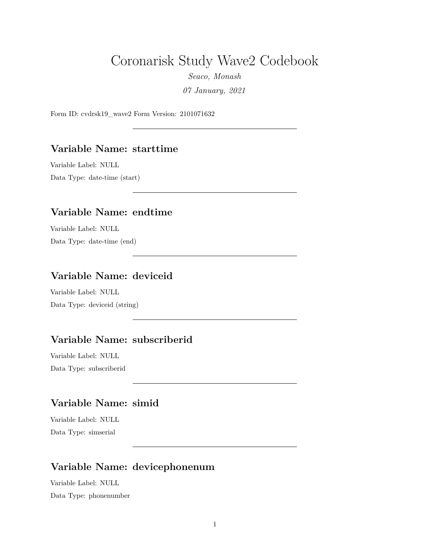# Coronarisk Study Wave2 Codebook

*Seaco, Monash 07 January, 2021*

Form ID: cvdrsk19\_wave2 Form Version: 2101071632

#### **Variable Name: starttime**

Variable Label: NULL Data Type: date-time (start)

#### **Variable Name: endtime**

Variable Label: NULL Data Type: date-time (end)

### **Variable Name: deviceid**

Variable Label: NULL Data Type: deviceid (string)

#### **Variable Name: subscriberid**

Variable Label: NULL Data Type: subscriberid

# **Variable Name: simid**

Variable Label: NULL Data Type: simserial

### **Variable Name: devicephonenum**

Variable Label: NULL Data Type: phonenumber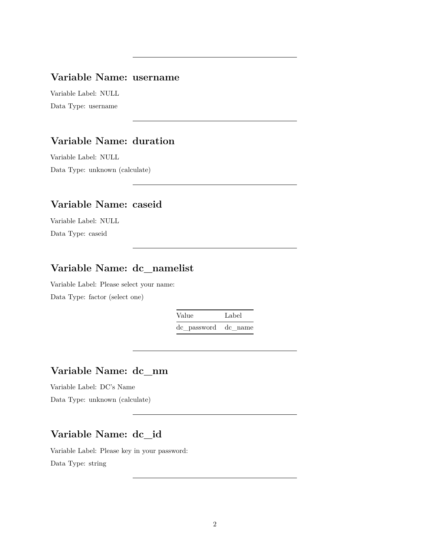#### **Variable Name: username**

Variable Label: NULL Data Type: username

# **Variable Name: duration**

Variable Label: NULL Data Type: unknown (calculate)

# **Variable Name: caseid**

Variable Label: NULL Data Type: caseid

# **Variable Name: dc\_namelist**

Variable Label: Please select your name: Data Type: factor (select one)

> Value Label dc\_password dc\_name

#### **Variable Name: dc\_nm**

Variable Label: DC's Name Data Type: unknown (calculate)

## **Variable Name: dc\_id**

Variable Label: Please key in your password: Data Type: string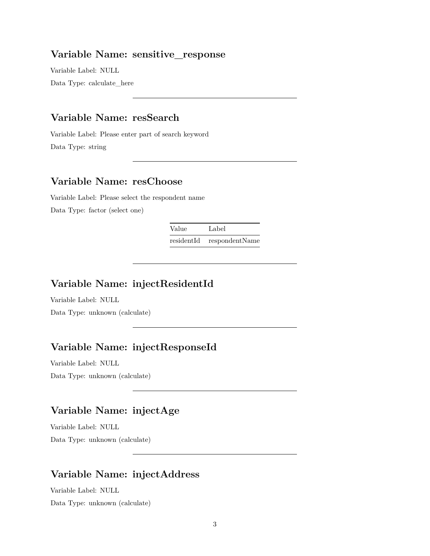#### **Variable Name: sensitive\_response**

Variable Label: NULL Data Type: calculate\_here

#### **Variable Name: resSearch**

Variable Label: Please enter part of search keyword Data Type: string

#### **Variable Name: resChoose**

Variable Label: Please select the respondent name Data Type: factor (select one)

> Value Label residentId respondentName

# **Variable Name: injectResidentId**

Variable Label: NULL Data Type: unknown (calculate)

# **Variable Name: injectResponseId**

Variable Label: NULL Data Type: unknown (calculate)

# **Variable Name: injectAge**

Variable Label: NULL Data Type: unknown (calculate)

#### **Variable Name: injectAddress**

Variable Label: NULL Data Type: unknown (calculate)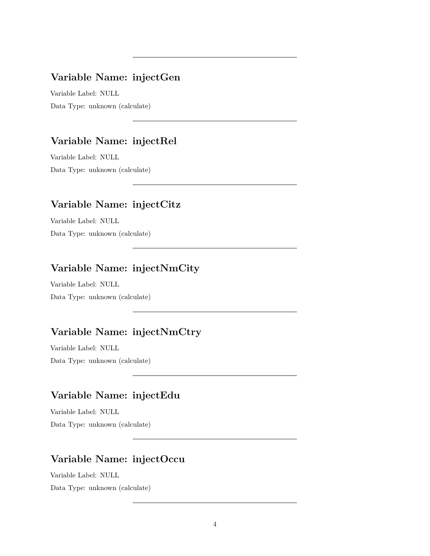# **Variable Name: injectGen**

Variable Label: NULL Data Type: unknown (calculate)

### **Variable Name: injectRel**

Variable Label: NULL Data Type: unknown (calculate)

### **Variable Name: injectCitz**

Variable Label: NULL Data Type: unknown (calculate)

# **Variable Name: injectNmCity**

Variable Label: NULL Data Type: unknown (calculate)

# **Variable Name: injectNmCtry**

Variable Label: NULL Data Type: unknown (calculate)

# **Variable Name: injectEdu**

Variable Label: NULL Data Type: unknown (calculate)

# **Variable Name: injectOccu**

Variable Label: NULL Data Type: unknown (calculate)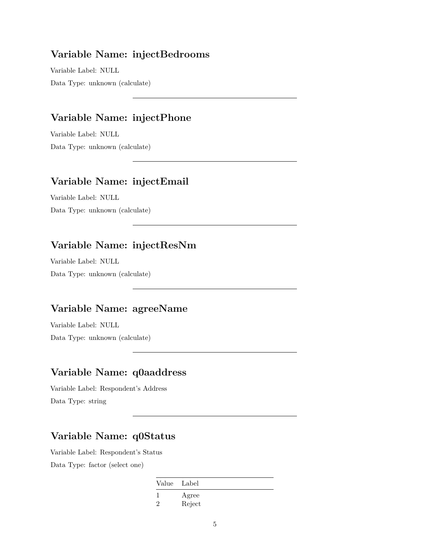#### **Variable Name: injectBedrooms**

Variable Label: NULL Data Type: unknown (calculate)

# **Variable Name: injectPhone**

Variable Label: NULL Data Type: unknown (calculate)

#### **Variable Name: injectEmail**

Variable Label: NULL Data Type: unknown (calculate)

### **Variable Name: injectResNm**

Variable Label: NULL Data Type: unknown (calculate)

# **Variable Name: agreeName**

Variable Label: NULL Data Type: unknown (calculate)

#### **Variable Name: q0aaddress**

Variable Label: Respondent's Address Data Type: string

# **Variable Name: q0Status**

Variable Label: Respondent's Status Data Type: factor (select one)

Value Label

1 Agree 2 Reject

5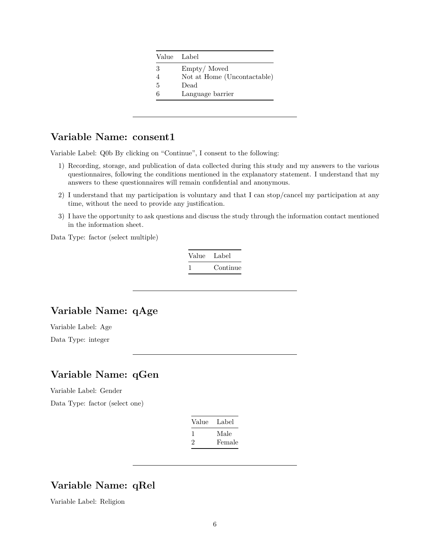|   | Value Label                 |
|---|-----------------------------|
| 3 | Empty/Moved                 |
|   | Not at Home (Uncontactable) |
| 5 | Dead                        |
| 6 | Language barrier            |

### **Variable Name: consent1**

Variable Label: Q0b By clicking on "Continue", I consent to the following:

- 1) Recording, storage, and publication of data collected during this study and my answers to the various questionnaires, following the conditions mentioned in the explanatory statement. I understand that my answers to these questionnaires will remain confidential and anonymous.
- 2) I understand that my participation is voluntary and that I can stop/cancel my participation at any time, without the need to provide any justification.
- 3) I have the opportunity to ask questions and discuss the study through the information contact mentioned in the information sheet.

Data Type: factor (select multiple)

| Value Label |          |
|-------------|----------|
|             | Continue |

### **Variable Name: qAge**

Variable Label: Age Data Type: integer

### **Variable Name: qGen**

Variable Label: Gender Data Type: factor (select one)

| Value | Label  |
|-------|--------|
|       | Male   |
| ソ     | Female |

# **Variable Name: qRel**

Variable Label: Religion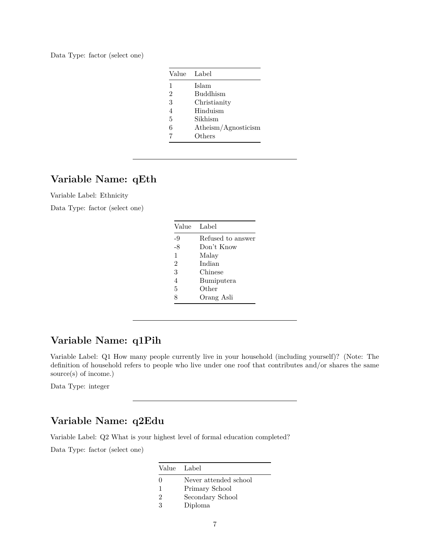Data Type: factor (select one)

| Value          | Label                  |
|----------------|------------------------|
| 1              | Islam                  |
| $\overline{2}$ | <b>Buddhism</b>        |
| 3              | Christianity           |
| 4              | Hinduism               |
| 5              | Sikhism                |
| 6              | $A$ theism/Agnosticism |
|                | Others                 |

### **Variable Name: qEth**

Variable Label: Ethnicity

Data Type: factor (select one)

| $-9$<br>-8<br>Don't Know<br>1<br>Malay<br>$\mathfrak{D}$<br>Indian<br>3<br>Chinese<br>$\overline{4}$<br>Bumiputera<br>5<br>Other<br>Orang Asli<br>8 | Value | Label             |
|-----------------------------------------------------------------------------------------------------------------------------------------------------|-------|-------------------|
|                                                                                                                                                     |       | Refused to answer |
|                                                                                                                                                     |       |                   |
|                                                                                                                                                     |       |                   |
|                                                                                                                                                     |       |                   |
|                                                                                                                                                     |       |                   |
|                                                                                                                                                     |       |                   |
|                                                                                                                                                     |       |                   |
|                                                                                                                                                     |       |                   |

### **Variable Name: q1Pih**

Variable Label: Q1 How many people currently live in your household (including yourself)? (Note: The definition of household refers to people who live under one roof that contributes and/or shares the same source(s) of income.)

Data Type: integer

#### **Variable Name: q2Edu**

Variable Label: Q2 What is your highest level of formal education completed?

|                             | Value Label           |
|-----------------------------|-----------------------|
| 0                           | Never attended school |
|                             | Primary School        |
| $\mathcal{D}_{\mathcal{L}}$ | Secondary School      |
| 3                           | Diploma               |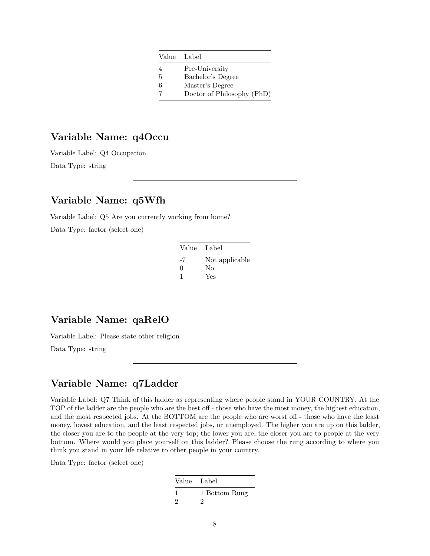|   | Value Label                |
|---|----------------------------|
| 4 | Pre-University             |
| 5 | Bachelor's Degree          |
| 6 | Master's Degree            |
|   | Doctor of Philosophy (PhD) |
|   |                            |

# **Variable Name: q4Occu**

Variable Label: Q4 Occupation

Data Type: string

## **Variable Name: q5Wfh**

Variable Label: Q5 Are you currently working from home?

Data Type: factor (select one)

| Value    | - Label        |
|----------|----------------|
| -7       | Not applicable |
| $\Omega$ | Nο             |
| -1       | Yes            |

# **Variable Name: qaRelO**

Variable Label: Please state other religion

Data Type: string

#### **Variable Name: q7Ladder**

Variable Label: Q7 Think of this ladder as representing where people stand in YOUR COUNTRY. At the TOP of the ladder are the people who are the best off - those who have the most money, the highest education, and the most respected jobs. At the BOTTOM are the people who are worst off - those who have the least money, lowest education, and the least respected jobs, or unemployed. The higher you are up on this ladder, the closer you are to the people at the very top; the lower you are, the closer you are to people at the very bottom. Where would you place yourself on this ladder? Please choose the rung according to where you think you stand in your life relative to other people in your country.

| Value Label   |               |
|---------------|---------------|
|               | 1 Bottom Rung |
| $\mathcal{D}$ |               |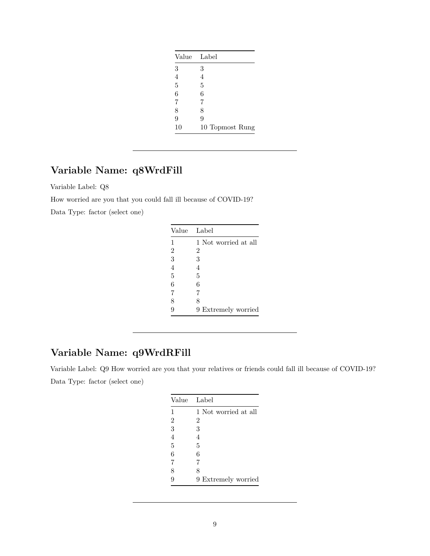| Value          | Label           |
|----------------|-----------------|
| $\sqrt{3}$     | 3               |
| $\overline{4}$ | 4               |
| $\overline{5}$ | 5               |
| 6              | 6               |
| 7              | 7               |
| 8              | 8               |
| 9              | 9               |
| 10             | 10 Topmost Rung |

# **Variable Name: q8WrdFill**

Variable Label: Q8

How worried are you that you could fall ill because of COVID-19?

Data Type: factor (select one)

|                | Value Label          |
|----------------|----------------------|
| $\mathbf{1}$   | 1 Not worried at all |
| $\overline{2}$ | $\overline{2}$       |
| 3              | 3                    |
| $\overline{4}$ | 4                    |
| $\overline{5}$ | 5                    |
| 6              | 6                    |
| 7              | 7                    |
| 8              | 8                    |
| 9              | 9 Extremely worried  |

# **Variable Name: q9WrdRFill**

Variable Label: Q9 How worried are you that your relatives or friends could fall ill because of COVID-19? Data Type: factor (select one)

|                | Value Label          |
|----------------|----------------------|
| 1              | 1 Not worried at all |
| $\overline{2}$ | $\overline{2}$       |
| 3              | 3                    |
| $\overline{4}$ | 4                    |
| 5              | 5                    |
| 6              | 6                    |
| 7              | 7                    |
| 8              | 8                    |
| 9              | 9 Extremely worried  |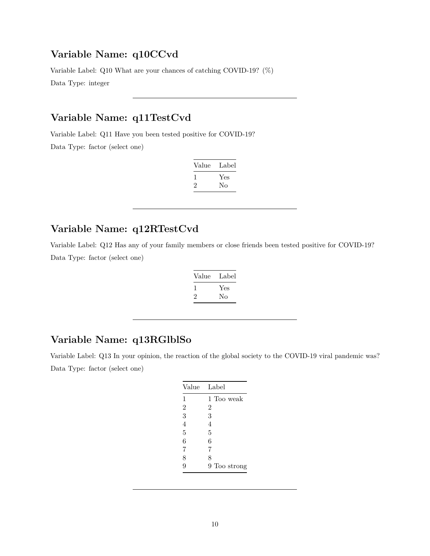# **Variable Name: q10CCvd**

Variable Label: Q10 What are your chances of catching COVID-19? (%)

Data Type: integer

# **Variable Name: q11TestCvd**

Variable Label: Q11 Have you been tested positive for COVID-19? Data Type: factor (select one)

| Value        | Label |
|--------------|-------|
| $\mathbf{I}$ | Yes   |
| ۰,           | Nο    |

# **Variable Name: q12RTestCvd**

Variable Label: Q12 Has any of your family members or close friends been tested positive for COVID-19? Data Type: factor (select one)

| Value | Label |
|-------|-------|
|       | Yes   |
| ۰,    | Nο    |

#### **Variable Name: q13RGlblSo**

Variable Label: Q13 In your opinion, the reaction of the global society to the COVID-19 viral pandemic was? Data Type: factor (select one)

| Value          | Label        |
|----------------|--------------|
| 1              | 1 Too weak   |
| $\overline{2}$ | 2            |
| 3              | 3            |
| $\overline{4}$ | 4            |
| 5              | 5            |
| 6              | 6            |
| 7              | 7            |
| 8              | 8            |
| 9              | 9 Too strong |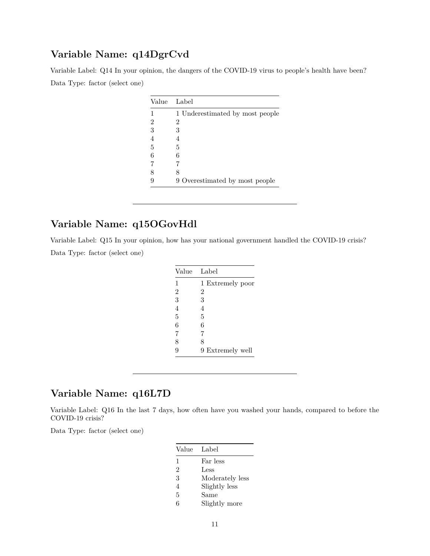### **Variable Name: q14DgrCvd**

Variable Label: Q14 In your opinion, the dangers of the COVID-19 virus to people's health have been? Data Type: factor (select one)

| Value | Label                           |
|-------|---------------------------------|
|       | 1 Underestimated by most people |
| 2     | 2                               |
| 3     | 3                               |
| 4     |                                 |
| 5     | 5                               |
| 6     | 6                               |
| 7     |                                 |
| 8     | 8                               |
|       | 9 Overestimated by most people  |

# **Variable Name: q15OGovHdl**

Variable Label: Q15 In your opinion, how has your national government handled the COVID-19 crisis? Data Type: factor (select one)

| Value          | Label            |  |
|----------------|------------------|--|
| 1              | 1 Extremely poor |  |
| $\overline{2}$ | 2                |  |
| 3              | 3                |  |
| $\overline{4}$ | 4                |  |
| 5              | 5                |  |
| 6              | 6                |  |
| 7              | 7                |  |
| 8              | 8                |  |
| 9              | 9 Extremely well |  |

# **Variable Name: q16L7D**

Variable Label: Q16 In the last 7 days, how often have you washed your hands, compared to before the COVID-19 crisis?

| Value          | Label           |
|----------------|-----------------|
| 1              | Far less        |
| $\overline{2}$ | Less            |
| 3              | Moderately less |
| 4              | Slightly less   |
| 5              | Same            |
| 6              | Slightly more   |
|                |                 |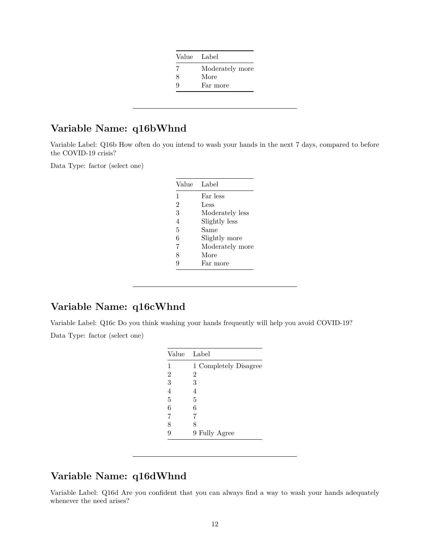|   | Value Label     |
|---|-----------------|
|   | Moderately more |
| 8 | More            |
| 9 | Far more        |

# **Variable Name: q16bWhnd**

Variable Label: Q16b How often do you intend to wash your hands in the next 7 days, compared to before the COVID-19 crisis?

Data Type: factor (select one)

| Value          | Label           |
|----------------|-----------------|
| 1              | Far less        |
| $\overline{2}$ | Less            |
| 3              | Moderately less |
| 4              | Slightly less   |
| 5              | Same            |
| 6              | Slightly more   |
| 7              | Moderately more |
| 8              | More            |
| g              | Far more        |

# **Variable Name: q16cWhnd**

Variable Label: Q16c Do you think washing your hands frequently will help you avoid COVID-19? Data Type: factor (select one)

|                | Value Label           |
|----------------|-----------------------|
| 1              | 1 Completely Disagree |
| $\overline{2}$ | 2                     |
| 3              | 3                     |
| $\overline{4}$ |                       |
| 5              | 5                     |
| 6              | 6                     |
| 7              |                       |
| 8              | 8                     |
| 9              | 9 Fully Agree         |

# **Variable Name: q16dWhnd**

Variable Label: Q16d Are you confident that you can always find a way to wash your hands adequately whenever the need arises?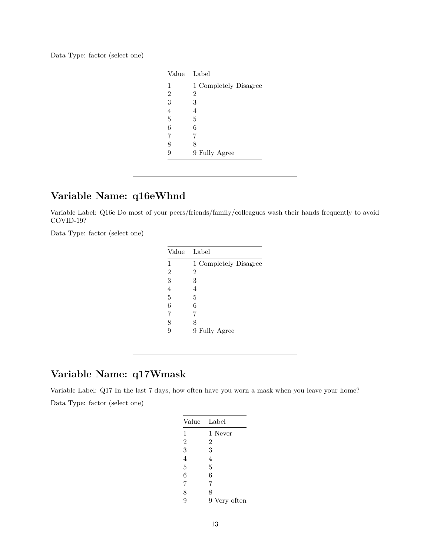|  |  |  | Data Type: factor (select one) |  |  |  |
|--|--|--|--------------------------------|--|--|--|
|--|--|--|--------------------------------|--|--|--|

| Value          | - Label               |
|----------------|-----------------------|
| 1              | 1 Completely Disagree |
| $\overline{2}$ | $\overline{2}$        |
| 3              | 3                     |
| $\overline{4}$ | 4                     |
| 5              | 5                     |
| 6              | 6                     |
| 7              | 7                     |
| 8              | 8                     |
| 9              | 9 Fully Agree         |

# **Variable Name: q16eWhnd**

Variable Label: Q16e Do most of your peers/friends/family/colleagues wash their hands frequently to avoid COVID-19?

Data Type: factor (select one)

| Value | Label                 |
|-------|-----------------------|
| 1     | 1 Completely Disagree |
| 2     | 2                     |
| 3     | 3                     |
| 4     | 4                     |
| 5     | 5                     |
| 6     | 6                     |
| 7     | 7                     |
| 8     | 8                     |
|       | 9 Fully Agree         |

# **Variable Name: q17Wmask**

Variable Label: Q17 In the last 7 days, how often have you worn a mask when you leave your home? Data Type: factor (select one)

| Value          | Label        |
|----------------|--------------|
| 1              | 1 Never      |
| $\overline{2}$ | 2            |
| 3              | 3            |
| 4              | 4            |
| 5              | 5            |
| $\overline{6}$ | 6            |
| 7              | 7            |
| 8              | 8            |
| 9              | 9 Very often |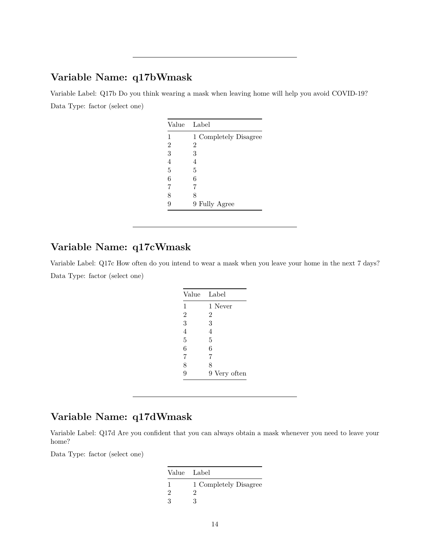### **Variable Name: q17bWmask**

Variable Label: Q17b Do you think wearing a mask when leaving home will help you avoid COVID-19? Data Type: factor (select one)

| Value          | - Label               |
|----------------|-----------------------|
| 1              | 1 Completely Disagree |
| $\overline{2}$ | 2                     |
| 3              | 3                     |
| 4              | 4                     |
| 5              | 5                     |
| 6              | 6                     |
| 7              | 7                     |
| 8              | 8                     |
| 9              | 9 Fully Agree         |

# **Variable Name: q17cWmask**

Variable Label: Q17c How often do you intend to wear a mask when you leave your home in the next 7 days? Data Type: factor (select one)

| Value          | Label          |
|----------------|----------------|
| 1              | 1 Never        |
| $\overline{2}$ | $\overline{2}$ |
| 3              | 3              |
| $\overline{4}$ | 4              |
| 5              | 5              |
| 6              | 6              |
| 7              | 7              |
| 8              | 8              |
| 9              | 9 Very often   |

# **Variable Name: q17dWmask**

Variable Label: Q17d Are you confident that you can always obtain a mask whenever you need to leave your home?

| Value Label   |                       |
|---------------|-----------------------|
|               | 1 Completely Disagree |
| $\mathcal{D}$ | 9                     |
| $\mathcal{R}$ | ર                     |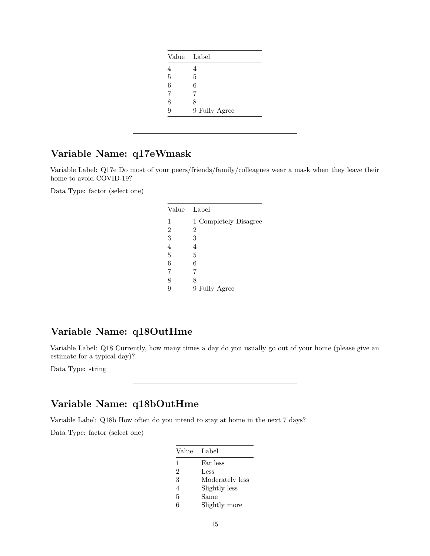| Value Label |               |
|-------------|---------------|
| 4           |               |
| 5           | 5             |
| 6           | 6             |
| 7           | 7             |
| 8           | 8             |
| 9           | 9 Fully Agree |

# **Variable Name: q17eWmask**

Variable Label: Q17e Do most of your peers/friends/family/colleagues wear a mask when they leave their home to avoid COVID-19?

Data Type: factor (select one)

| Value          | Label                 |
|----------------|-----------------------|
| 1              | 1 Completely Disagree |
| $\overline{2}$ | 2                     |
| 3              | 3                     |
| $\overline{4}$ | 4                     |
| 5              | 5                     |
| 6              | 6                     |
| $\overline{7}$ | 7                     |
| 8              | 8                     |
| 9              | 9 Fully Agree         |

## **Variable Name: q18OutHme**

Variable Label: Q18 Currently, how many times a day do you usually go out of your home (please give an estimate for a typical day)?

Data Type: string

# **Variable Name: q18bOutHme**

Variable Label: Q18b How often do you intend to stay at home in the next 7 days?

| Value Label    |                 |
|----------------|-----------------|
| $\mathbf{1}$   | Far less        |
| $\overline{2}$ | Less            |
| 3              | Moderately less |
| 4              | Slightly less   |
| 5              | Same            |
| 6              | Slightly more   |
|                |                 |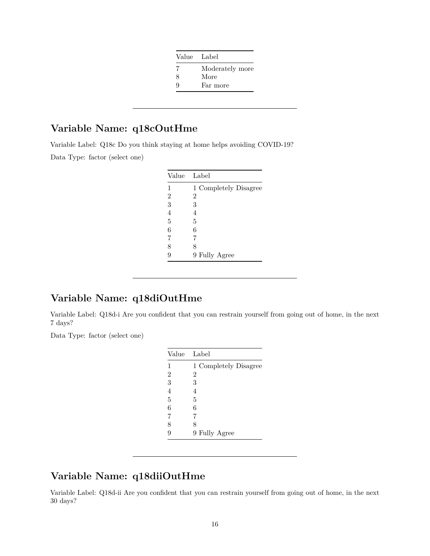|   | Value Label     |
|---|-----------------|
|   | Moderately more |
| 8 | More            |
| Q | Far more        |

# **Variable Name: q18cOutHme**

Variable Label: Q18c Do you think staying at home helps avoiding COVID-19? Data Type: factor (select one)

|                | Value Label           |
|----------------|-----------------------|
| 1              | 1 Completely Disagree |
| $\overline{2}$ | 2                     |
| 3              | 3                     |
| $\overline{4}$ | 4                     |
| 5              | 5                     |
| 6              | 6                     |
| 7              | 7                     |
| 8              | 8                     |
| 9              | 9 Fully Agree         |

# **Variable Name: q18diOutHme**

Variable Label: Q18d-i Are you confident that you can restrain yourself from going out of home, in the next 7 days?

Data Type: factor (select one)

|                | Value Label           |
|----------------|-----------------------|
| 1              | 1 Completely Disagree |
| $\overline{2}$ | 2                     |
| 3              | 3                     |
| 4              | 4                     |
| 5              | 5                     |
| 6              | 6                     |
| 7              | 7                     |
| 8              | 8                     |
| 9              | 9 Fully Agree         |

# **Variable Name: q18diiOutHme**

Variable Label: Q18d-ii Are you confident that you can restrain yourself from going out of home, in the next 30 days?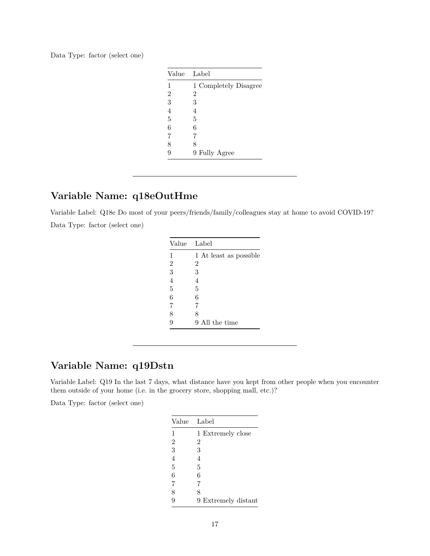| Data Type: factor (select one) |  |  |  |  |
|--------------------------------|--|--|--|--|
|--------------------------------|--|--|--|--|

| Value          | - Label               |
|----------------|-----------------------|
| 1              | 1 Completely Disagree |
| $\overline{2}$ | 2                     |
| 3              | 3                     |
| 4              | 4                     |
| 5              | 5                     |
| 6              | 6                     |
| 7              | 7                     |
| 8              | 8                     |
| 9              | 9 Fully Agree         |

# **Variable Name: q18eOutHme**

Variable Label: Q18e Do most of your peers/friends/family/colleagues stay at home to avoid COVID-19? Data Type: factor (select one)

|                | Value Label            |
|----------------|------------------------|
| 1              | 1 At least as possible |
| $\overline{2}$ | $\overline{2}$         |
| 3              | 3                      |
| $\overline{4}$ | 4                      |
| 5              | 5                      |
| 6              | 6                      |
| 7              | 7                      |
| 8              | 8                      |
|                | 9 All the time         |

# **Variable Name: q19Dstn**

Variable Label: Q19 In the last 7 days, what distance have you kept from other people when you encounter them outside of your home (i.e. in the grocery store, shopping mall, etc.)?

|                | Value Label         |
|----------------|---------------------|
| 1              | 1 Extremely close   |
| $\overline{2}$ | 2                   |
| 3              | 3                   |
| $\overline{4}$ | 4                   |
| 5              | 5                   |
| 6              | 6                   |
| 7              | 7                   |
| 8              | 8                   |
| 9              | 9 Extremely distant |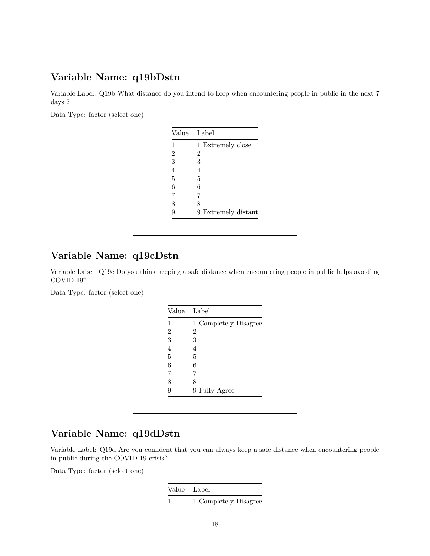### **Variable Name: q19bDstn**

Variable Label: Q19b What distance do you intend to keep when encountering people in public in the next 7 days ?

Data Type: factor (select one)

| Value          | Label               |
|----------------|---------------------|
| 1              | 1 Extremely close   |
| $\overline{2}$ | 2                   |
| 3              | 3                   |
| $\overline{4}$ | 4                   |
| $\overline{5}$ | 5                   |
| 6              | 6                   |
| 7              | 7                   |
| 8              | 8                   |
| q              | 9 Extremely distant |

### **Variable Name: q19cDstn**

Variable Label: Q19c Do you think keeping a safe distance when encountering people in public helps avoiding COVID-19?

Data Type: factor (select one)

| Value          | Label                 |
|----------------|-----------------------|
| 1              | 1 Completely Disagree |
| $\overline{2}$ | 2                     |
| 3              | 3                     |
| $\overline{4}$ | 4                     |
| 5              | 5                     |
| 6              | 6                     |
| 7              | 7                     |
| 8              | 8                     |
| 9              | 9 Fully Agree         |

# **Variable Name: q19dDstn**

Variable Label: Q19d Are you confident that you can always keep a safe distance when encountering people in public during the COVID-19 crisis?

Data Type: factor (select one)

Value Label 1 1 Completely Disagree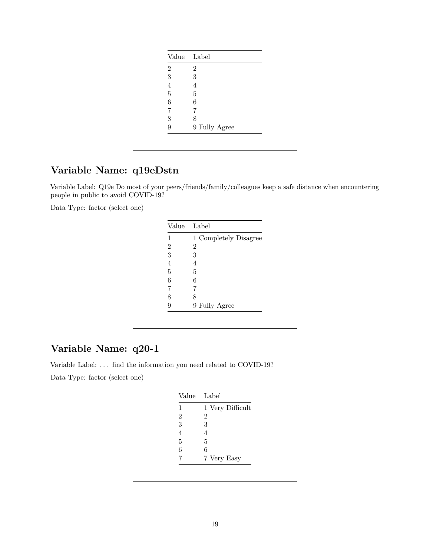| Value          | Label         |
|----------------|---------------|
| $\overline{2}$ | 2             |
| 3              | 3             |
| $\overline{4}$ | 4             |
| $\overline{5}$ | 5             |
| 6              | 6             |
| 7              | 7             |
| 8              | 8             |
| 9              | 9 Fully Agree |

# **Variable Name: q19eDstn**

Variable Label: Q19e Do most of your peers/friends/family/colleagues keep a safe distance when encountering people in public to avoid COVID-19?

Data Type: factor (select one)

| Value          | Label                 |
|----------------|-----------------------|
| 1              | 1 Completely Disagree |
| $\overline{2}$ | $\overline{2}$        |
| 3              | 3                     |
| $\overline{4}$ | 4                     |
| 5              | 5                     |
| 6              | 6                     |
| 7              | 7                     |
| 8              | 8                     |
| 9              | 9 Fully Agree         |

# **Variable Name: q20-1**

Variable Label: ... find the information you need related to COVID-19?

| Value          | Label            |
|----------------|------------------|
| 1              | 1 Very Difficult |
| $\overline{2}$ | 2                |
| 3              | 3                |
| $\overline{4}$ | 4                |
| 5              | 5                |
| 6              | 6                |
| 7              | 7 Very Easy      |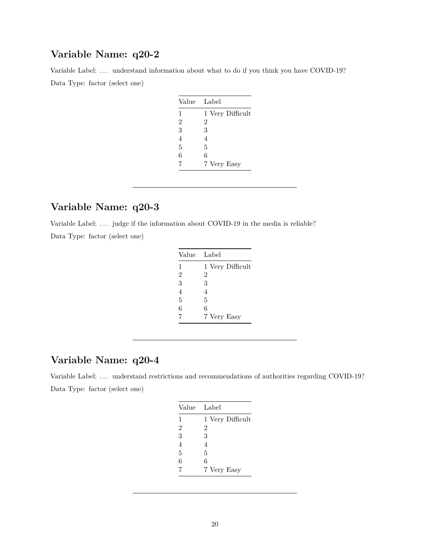Variable Label: ... understand information about what to do if you think you have COVID-19? Data Type: factor (select one)

| Value          | Label            |
|----------------|------------------|
| 1              | 1 Very Difficult |
| $\overline{2}$ | 2                |
| 3              | 3                |
| 4              | 4                |
| 5              | 5                |
| 6              | 6                |
| 7              | 7 Very Easy      |

# **Variable Name: q20-3**

Variable Label: ... judge if the information about COVID-19 in the media is reliable?

Data Type: factor (select one)

| Value          | Label            |
|----------------|------------------|
| 1              | 1 Very Difficult |
| $\overline{2}$ | 2                |
| 3              | 3                |
| 4              | 4                |
| 5              | 5                |
| 6              | 6                |
| 7              | 7 Very Easy      |

### **Variable Name: q20-4**

Variable Label: ... understand restrictions and recommendations of authorities regarding COVID-19? Data Type: factor (select one)

| Value          | Label            |
|----------------|------------------|
| 1              | 1 Very Difficult |
| $\overline{2}$ | 2                |
| 3              | 3                |
| $\overline{4}$ | 4                |
| 5              | 5                |
| 6              | 6                |
| 7              | 7 Very Easy      |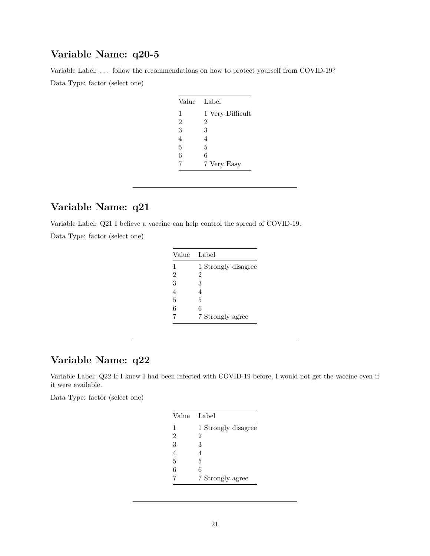Variable Label: ... follow the recommendations on how to protect yourself from COVID-19? Data Type: factor (select one)

| Value          | Label            |
|----------------|------------------|
| $\mathbf{1}$   | 1 Very Difficult |
| $\overline{2}$ | 2                |
| 3              | 3                |
| 4              | 4                |
| 5              | 5                |
| 6              | 6                |
| 7              | 7 Very Easy      |

# **Variable Name: q21**

Variable Label: Q21 I believe a vaccine can help control the spread of COVID-19.

Data Type: factor (select one)

| Value | Label               |
|-------|---------------------|
| 1     | 1 Strongly disagree |
| 2     | 2                   |
| 3     | 3                   |
| 4     | 4                   |
| 5     | 5                   |
| 6     | 6                   |
|       | 7 Strongly agree    |

# **Variable Name: q22**

Variable Label: Q22 If I knew I had been infected with COVID-19 before, I would not get the vaccine even if it were available.

| Value | Label               |
|-------|---------------------|
| 1     | 1 Strongly disagree |
| 2     | 2                   |
| 3     | 3                   |
| 4     | 4                   |
| 5     | 5                   |
| 6     | 6                   |
|       | 7 Strongly agree    |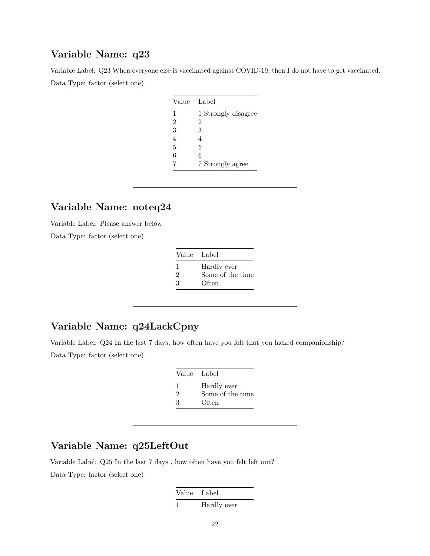Variable Label: Q23 When everyone else is vaccinated against COVID-19, then I do not have to get vaccinated. Data Type: factor (select one)

| Value | Label               |
|-------|---------------------|
| 1     | 1 Strongly disagree |
| 2     | 2                   |
| 3     | 3                   |
| 4     | 4                   |
| 5     | 5                   |
| 6     | 6                   |
|       | 7 Strongly agree    |

# **Variable Name: noteq24**

Variable Label: Please answer below

Data Type: factor (select one)

| Value Label |                  |
|-------------|------------------|
| ı           | Hardly ever      |
| 2           | Some of the time |
| 3           | Often            |

# **Variable Name: q24LackCpny**

Variable Label: Q24 In the last 7 days, how often have you felt that you lacked companionship? Data Type: factor (select one)

| Value Label |                  |
|-------------|------------------|
| -1          | Hardly ever      |
| 2           | Some of the time |
| З           | Often            |

### **Variable Name: q25LeftOut**

Variable Label: Q25 In the last 7 days , how often have you felt left out? Data Type: factor (select one)

| Value Label |             |
|-------------|-------------|
|             | Hardly ever |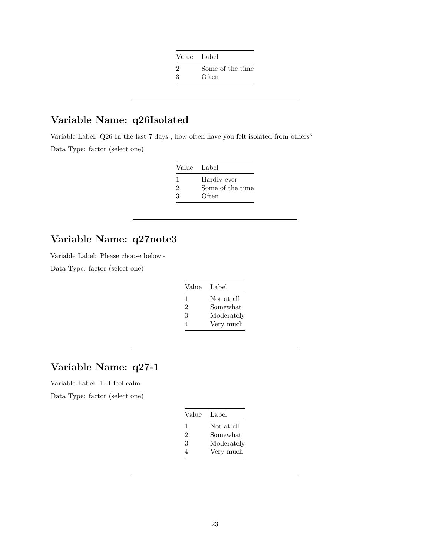|                             | Value Label      |
|-----------------------------|------------------|
| $\mathcal{D}_{\mathcal{L}}$ | Some of the time |
| 3                           | Often            |

# **Variable Name: q26Isolated**

Variable Label: Q26 In the last 7 days , how often have you felt isolated from others? Data Type: factor (select one)

|    | Value Label      |
|----|------------------|
| л. | Hardly ever      |
| 2  | Some of the time |
| 3  | Often            |

### **Variable Name: q27note3**

Variable Label: Please choose below:-

Data Type: factor (select one)

| Value | Label      |
|-------|------------|
| 1     | Not at all |
| 2     | Somewhat   |
| 3     | Moderately |
| 4     | Very much  |

### **Variable Name: q27-1**

Variable Label: 1. I feel calm

| Value | Label      |
|-------|------------|
| 1     | Not at all |
| 2     | Somewhat   |
| 3     | Moderately |
| 4     | Very much  |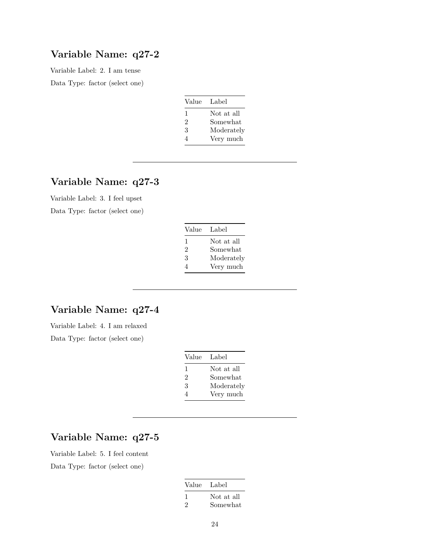Variable Label: 2. I am tense Data Type: factor (select one)

| Value | Label      |
|-------|------------|
| 1     | Not at all |
| 2     | Somewhat   |
| 3     | Moderately |
|       | Very much  |

# **Variable Name: q27-3**

Variable Label: 3. I feel upset Data Type: factor (select one)

| Value Label |            |
|-------------|------------|
| ı           | Not at all |
| 2           | Somewhat   |
| 3           | Moderately |
| Δ           | Very much  |

# **Variable Name: q27-4**

Variable Label: 4. I am relaxed Data Type: factor (select one)

| Value | Label      |
|-------|------------|
| 1     | Not at all |
| 2     | Somewhat   |
| 3     | Moderately |
| 4     | Very much  |

# **Variable Name: q27-5**

Variable Label: 5. I feel content Data Type: factor (select one)

| Value Label |                        |
|-------------|------------------------|
| 2           | Not at all<br>Somewhat |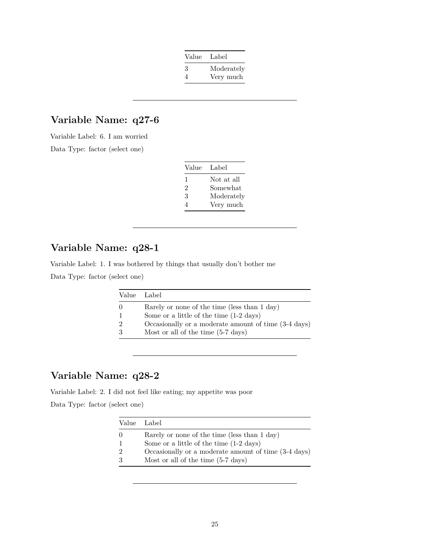| Value | Label      |
|-------|------------|
| 3     | Moderately |
| 4     | Very much  |

Variable Label: 6. I am worried Data Type: factor (select one)

| Value | Label      |
|-------|------------|
| ı     | Not at all |
| 2     | Somewhat   |
| 3     | Moderately |
| Δ     | Very much  |

# **Variable Name: q28-1**

Variable Label: 1. I was bothered by things that usually don't bother me Data Type: factor (select one)

| Value | - Label -                                            |
|-------|------------------------------------------------------|
|       | Rarely or none of the time (less than 1 day)         |
|       | Some or a little of the time $(1-2 \text{ days})$    |
|       | Occasionally or a moderate amount of time (3-4 days) |
|       | Most or all of the time (5-7 days)                   |

# **Variable Name: q28-2**

Variable Label: 2. I did not feel like eating; my appetite was poor

| Value Label                                          |
|------------------------------------------------------|
| Rarely or none of the time (less than 1 day)         |
| Some or a little of the time $(1-2 \text{ days})$    |
| Occasionally or a moderate amount of time (3-4 days) |
| Most or all of the time $(5-7 \text{ days})$         |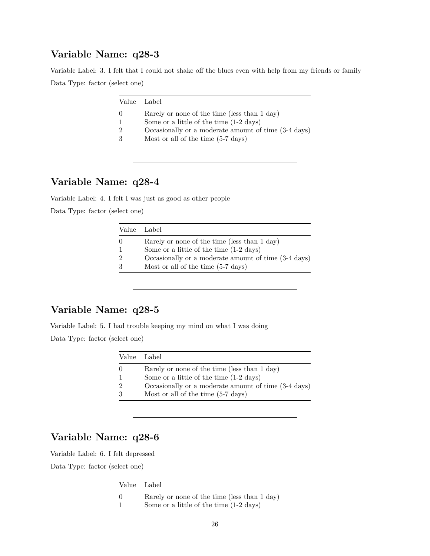Variable Label: 3. I felt that I could not shake off the blues even with help from my friends or family Data Type: factor (select one)

| Value Label                                          |
|------------------------------------------------------|
| Rarely or none of the time (less than 1 day)         |
| Some or a little of the time $(1-2 \text{ days})$    |
| Occasionally or a moderate amount of time (3-4 days) |
| Most or all of the time $(5-7 \text{ days})$         |

### **Variable Name: q28-4**

Variable Label: 4. I felt I was just as good as other people

Data Type: factor (select one)

| Value Label   |                                                      |
|---------------|------------------------------------------------------|
| $\Omega$      | Rarely or none of the time (less than 1 day)         |
|               | Some or a little of the time $(1-2 \text{ days})$    |
| $\mathcal{D}$ | Occasionally or a moderate amount of time (3-4 days) |
|               | Most or all of the time $(5-7 \text{ days})$         |

### **Variable Name: q28-5**

Variable Label: 5. I had trouble keeping my mind on what I was doing Data Type: factor (select one)

|                  | Value Label                                          |
|------------------|------------------------------------------------------|
| $\left( \right)$ | Rarely or none of the time (less than 1 day)         |
|                  | Some or a little of the time $(1-2 \text{ days})$    |
| $\mathcal{D}$    | Occasionally or a moderate amount of time (3-4 days) |
| $\mathcal{S}$    | Most or all of the time $(5-7 \text{ days})$         |

# **Variable Name: q28-6**

Variable Label: 6. I felt depressed

| Value Label                                       |
|---------------------------------------------------|
| Rarely or none of the time (less than 1 day)      |
| Some or a little of the time $(1-2 \text{ days})$ |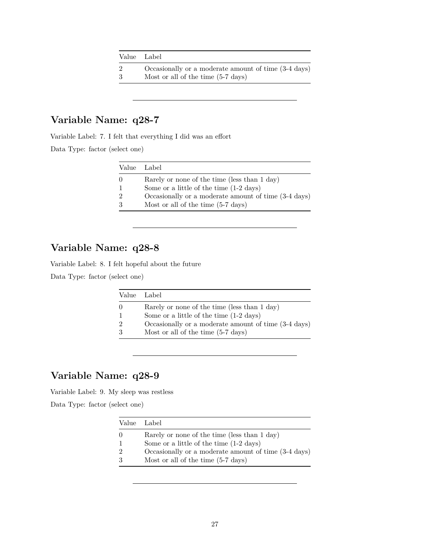| Value Label |                                                      |
|-------------|------------------------------------------------------|
|             | Occasionally or a moderate amount of time (3-4 days) |
| -3          | Most or all of the time $(5-7 \text{ days})$         |

Variable Label: 7. I felt that everything I did was an effort

Data Type: factor (select one)

| Value Label                                          |
|------------------------------------------------------|
| Rarely or none of the time (less than 1 day)         |
| Some or a little of the time $(1-2 \text{ days})$    |
| Occasionally or a moderate amount of time (3-4 days) |
| Most or all of the time $(5-7 \text{ days})$         |

# **Variable Name: q28-8**

Variable Label: 8. I felt hopeful about the future

Data Type: factor (select one)

| Value Label                                          |
|------------------------------------------------------|
| Rarely or none of the time (less than 1 day)         |
| Some or a little of the time $(1-2 \text{ days})$    |
| Occasionally or a moderate amount of time (3-4 days) |
| Most or all of the time $(5-7 \text{ days})$         |

# **Variable Name: q28-9**

Variable Label: 9. My sleep was restless

| Value Label                                          |
|------------------------------------------------------|
| Rarely or none of the time (less than 1 day)         |
| Some or a little of the time $(1-2 \text{ days})$    |
| Occasionally or a moderate amount of time (3-4 days) |
| Most or all of the time $(5-7 \text{ days})$         |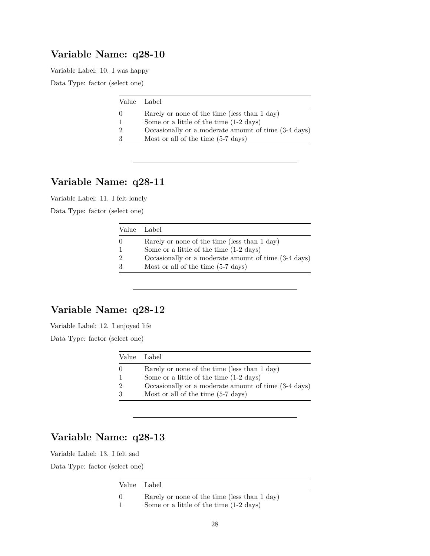Variable Label: 10. I was happy

Data Type: factor (select one)

| Value Label                                          |
|------------------------------------------------------|
| Rarely or none of the time (less than 1 day)         |
| Some or a little of the time $(1-2 \text{ days})$    |
| Occasionally or a moderate amount of time (3-4 days) |
| Most or all of the time $(5-7 \text{ days})$         |

### **Variable Name: q28-11**

Variable Label: 11. I felt lonely

Data Type: factor (select one)

| Value Label      |                                                      |
|------------------|------------------------------------------------------|
| $\left( \right)$ | Rarely or none of the time (less than 1 day)         |
|                  | Some or a little of the time $(1-2 \text{ days})$    |
|                  | Occasionally or a moderate amount of time (3-4 days) |
| 3                | Most or all of the time $(5-7 \text{ days})$         |

# **Variable Name: q28-12**

Variable Label: 12. I enjoyed life Data Type: factor (select one)

| Value Label                                          |
|------------------------------------------------------|
| Rarely or none of the time (less than 1 day)         |
| Some or a little of the time $(1-2 \text{ days})$    |
| Occasionally or a moderate amount of time (3-4 days) |
| .                                                    |

3 Most or all of the time (5-7 days)

# **Variable Name: q28-13**

Variable Label: 13. I felt sad

| Value Label |                                                                                                   |
|-------------|---------------------------------------------------------------------------------------------------|
|             | Rarely or none of the time (less than 1 day)<br>Some or a little of the time $(1-2 \text{ days})$ |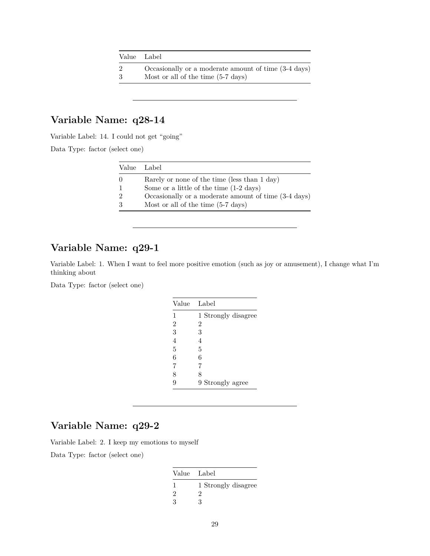| Value Label |                                                                                                      |
|-------------|------------------------------------------------------------------------------------------------------|
| -3          | Occasionally or a moderate amount of time (3-4 days)<br>Most or all of the time $(5-7 \text{ days})$ |
|             |                                                                                                      |

Variable Label: 14. I could not get "going"

Data Type: factor (select one)

| Value Label                                          |
|------------------------------------------------------|
| Rarely or none of the time (less than 1 day)         |
| Some or a little of the time $(1-2 \text{ days})$    |
| Occasionally or a moderate amount of time (3-4 days) |
| Most or all of the time $(5-7 \text{ days})$         |

# **Variable Name: q29-1**

Variable Label: 1. When I want to feel more positive emotion (such as joy or amusement), I change what I'm thinking about

Data Type: factor (select one)

| Value          | Label               |
|----------------|---------------------|
| 1              | 1 Strongly disagree |
| $\overline{2}$ | $\overline{2}$      |
| 3              | 3                   |
| 4              | 4                   |
| 5              | 5                   |
| 6              | 6                   |
| 7              | 7                   |
| 8              | 8                   |
| g              | 9 Strongly agree    |

# **Variable Name: q29-2**

Variable Label: 2. I keep my emotions to myself

| Value Label |                     |
|-------------|---------------------|
|             | 1 Strongly disagree |
| 2           | 9                   |
| 3           | 3                   |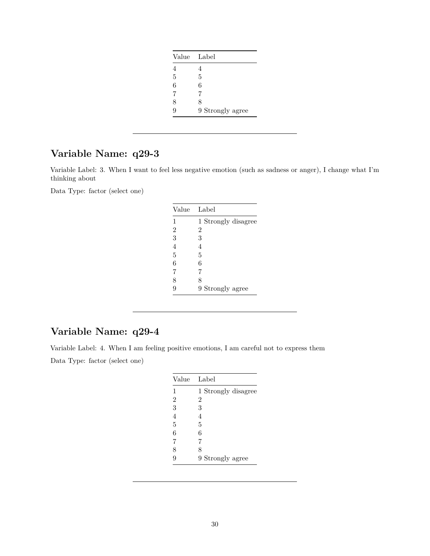| Value Label |                  |
|-------------|------------------|
| 4           | 4                |
| 5           | 5                |
| 6           | 6                |
| 7           | 7                |
| 8           | 8                |
| 9           | 9 Strongly agree |

Variable Label: 3. When I want to feel less negative emotion (such as sadness or anger), I change what I'm thinking about

Data Type: factor (select one)

| Value          | Label               |
|----------------|---------------------|
| 1              | 1 Strongly disagree |
| $\overline{2}$ | $\overline{2}$      |
| 3              | 3                   |
| $\overline{4}$ | 4                   |
| 5              | 5                   |
| 6              | 6                   |
| 7              | 7                   |
| 8              | 8                   |
| 9              | 9 Strongly agree    |

# **Variable Name: q29-4**

Variable Label: 4. When I am feeling positive emotions, I am careful not to express them Data Type: factor (select one)

|                | Value Label         |
|----------------|---------------------|
| 1              | 1 Strongly disagree |
| $\overline{2}$ | $\overline{2}$      |
| 3              | 3                   |
| 4              | 4                   |
| 5              | 5                   |
| 6              | 6                   |
| 7              | 7                   |
| 8              | 8                   |
| 9              | 9 Strongly agree    |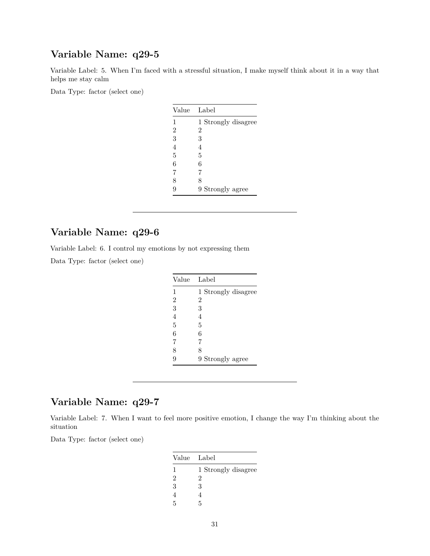Variable Label: 5. When I'm faced with a stressful situation, I make myself think about it in a way that helps me stay calm

Data Type: factor (select one)

| Value          | Label               |
|----------------|---------------------|
| 1              | 1 Strongly disagree |
| $\overline{2}$ | 2                   |
| 3              | 3                   |
| $\overline{4}$ | 4                   |
| 5              | 5                   |
| 6              | 6                   |
| 7              | 7                   |
| 8              | 8                   |
| 9              | 9 Strongly agree    |

# **Variable Name: q29-6**

Variable Label: 6. I control my emotions by not expressing them

Data Type: factor (select one)

|                | Value Label         |
|----------------|---------------------|
| 1              | 1 Strongly disagree |
| $\overline{2}$ | 2                   |
| 3              | 3                   |
| 4              | 4                   |
| 5              | 5                   |
| 6              | 6                   |
| 7              | 7                   |
| 8              | 8                   |
| g              | 9 Strongly agree    |

### **Variable Name: q29-7**

Variable Label: 7. When I want to feel more positive emotion, I change the way I'm thinking about the situation

| Value Label |                     |
|-------------|---------------------|
| 1           | 1 Strongly disagree |
| 2           | 2                   |
| 3           | 3                   |
|             |                     |
| 5           | 5                   |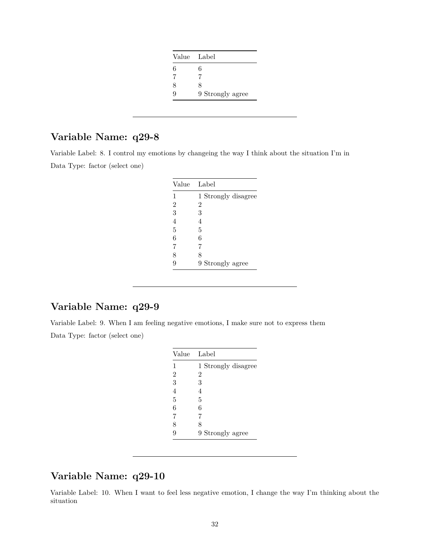| Value Label      |
|------------------|
| 6                |
|                  |
| 8                |
| 9 Strongly agree |
|                  |

Variable Label: 8. I control my emotions by changeing the way I think about the situation I'm in Data Type: factor (select one)

| Value          | Label               |
|----------------|---------------------|
| 1              | 1 Strongly disagree |
| $\overline{2}$ | 2                   |
| 3              | 3                   |
| $\overline{4}$ | 4                   |
| 5              | 5                   |
| 6              | 6                   |
| 7              | 7                   |
| 8              | 8                   |
| 9              | 9 Strongly agree    |

# **Variable Name: q29-9**

Variable Label: 9. When I am feeling negative emotions, I make sure not to express them Data Type: factor (select one)

| Value          | Label               |
|----------------|---------------------|
| $\mathbf{1}$   | 1 Strongly disagree |
| $\overline{2}$ | $\overline{2}$      |
| 3              | 3                   |
| $\overline{4}$ | 4                   |
| 5              | 5                   |
| 6              | 6                   |
| 7              | 7                   |
| 8              | 8                   |
| 9              | 9 Strongly agree    |

### **Variable Name: q29-10**

Variable Label: 10. When I want to feel less negative emotion, I change the way I'm thinking about the situation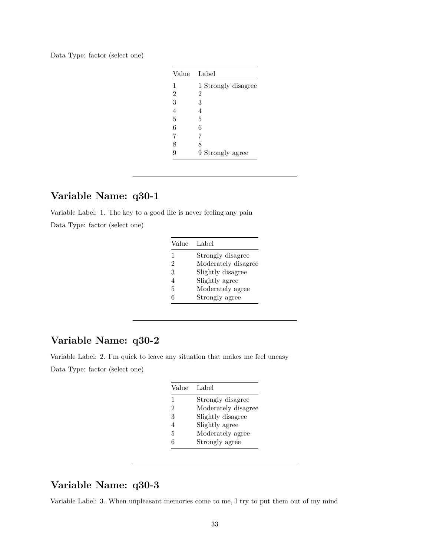| Data Type: factor (select one) |  |  |  |  |
|--------------------------------|--|--|--|--|
|--------------------------------|--|--|--|--|

| Value          | Label               |
|----------------|---------------------|
| 1              | 1 Strongly disagree |
| $\overline{2}$ | 2                   |
| 3              | 3                   |
| $\overline{4}$ | 4                   |
| 5              | 5                   |
| 6              | 6                   |
| 7              | 7                   |
| 8              | 8                   |
| 9              | 9 Strongly agree    |

Variable Label: 1. The key to a good life is never feeling any pain Data Type: factor (select one)

| Value | Label               |
|-------|---------------------|
| 1     | Strongly disagree   |
| 2     | Moderately disagree |
| 3     | Slightly disagree   |
| 4     | Slightly agree      |
| 5     | Moderately agree    |
| б     | Strongly agree      |

# **Variable Name: q30-2**

Variable Label: 2. I'm quick to leave any situation that makes me feel uneasy Data Type: factor (select one)

| Value        | Label               |
|--------------|---------------------|
| $\mathbf{1}$ | Strongly disagree   |
| 2            | Moderately disagree |
| 3            | Slightly disagree   |
| 4            | Slightly agree      |
| 5            | Moderately agree    |
| հ            | Strongly agree      |
|              |                     |

# **Variable Name: q30-3**

Variable Label: 3. When unpleasant memories come to me, I try to put them out of my mind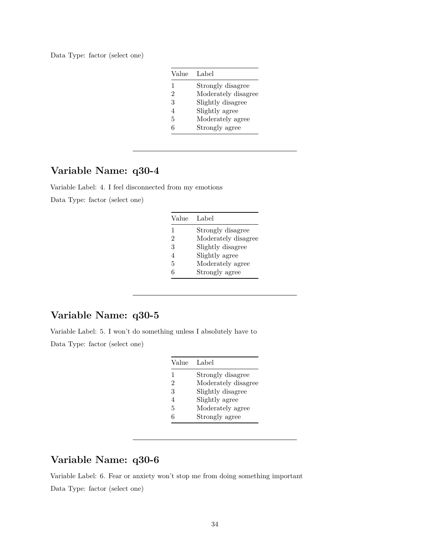Data Type: factor (select one)

| Label               |
|---------------------|
| Strongly disagree   |
| Moderately disagree |
| Slightly disagree   |
| Slightly agree      |
| Moderately agree    |
| Strongly agree      |
|                     |

# **Variable Name: q30-4**

Variable Label: 4. I feel disconnected from my emotions Data Type: factor (select one)

| Value | Label               |
|-------|---------------------|
| 1     | Strongly disagree   |
| 2     | Moderately disagree |
| 3     | Slightly disagree   |
| 4     | Slightly agree      |
| 5     | Moderately agree    |
| r.    | Strongly agree      |

### **Variable Name: q30-5**

Variable Label: 5. I won't do something unless I absolutely have to

Data Type: factor (select one)

| Value        | Label               |
|--------------|---------------------|
| $\mathbf{1}$ | Strongly disagree   |
| 2            | Moderately disagree |
| 3            | Slightly disagree   |
| 4            | Slightly agree      |
| 5            | Moderately agree    |
| հ            | Strongly agree      |

### **Variable Name: q30-6**

Variable Label: 6. Fear or anxiety won't stop me from doing something important Data Type: factor (select one)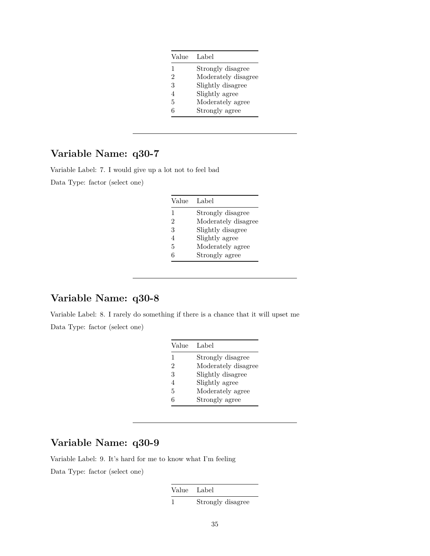| Value | Label               |
|-------|---------------------|
| 1     | Strongly disagree   |
| 2     | Moderately disagree |
| 3     | Slightly disagree   |
|       | Slightly agree      |
| 5     | Moderately agree    |
| Е     | Strongly agree      |

Variable Label: 7. I would give up a lot not to feel bad Data Type: factor (select one)

| Value | Label               |
|-------|---------------------|
| 1     | Strongly disagree   |
| 2     | Moderately disagree |
| 3     | Slightly disagree   |
| 4     | Slightly agree      |
| 5     | Moderately agree    |
| հ     | Strongly agree      |

# **Variable Name: q30-8**

Variable Label: 8. I rarely do something if there is a chance that it will upset me Data Type: factor (select one)

| Value | Label               |
|-------|---------------------|
| 1     | Strongly disagree   |
| 2     | Moderately disagree |
| 3     | Slightly disagree   |
| 4     | Slightly agree      |
| 5     | Moderately agree    |
| հ     | Strongly agree      |

# **Variable Name: q30-9**

Variable Label: 9. It's hard for me to know what I'm feeling Data Type: factor (select one)

Value Label

1 Strongly disagree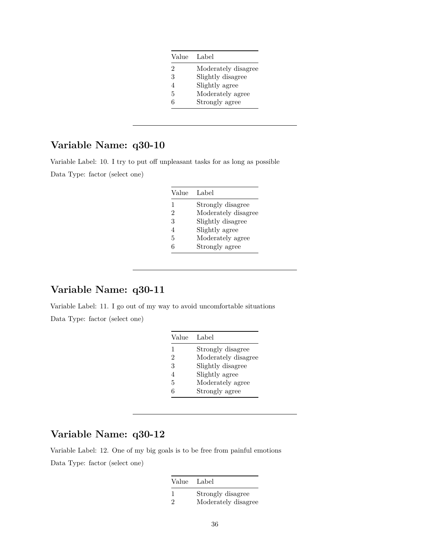| Value | Label               |
|-------|---------------------|
| 2     | Moderately disagree |
| 3     | Slightly disagree   |
|       | Slightly agree      |
| 5     | Moderately agree    |
| һ     | Strongly agree      |

Variable Label: 10. I try to put off unpleasant tasks for as long as possible Data Type: factor (select one)

| Value | Label               |
|-------|---------------------|
| 1     | Strongly disagree   |
| 2     | Moderately disagree |
| 3     | Slightly disagree   |
| 4     | Slightly agree      |
| 5     | Moderately agree    |
| б     | Strongly agree      |

### **Variable Name: q30-11**

Variable Label: 11. I go out of my way to avoid uncomfortable situations Data Type: factor (select one)

| Value        | Label               |
|--------------|---------------------|
| $\mathbf{1}$ | Strongly disagree   |
| 2            | Moderately disagree |
| 3            | Slightly disagree   |
| 4            | Slightly agree      |
| 5            | Moderately agree    |
| հ            | Strongly agree      |

### **Variable Name: q30-12**

Variable Label: 12. One of my big goals is to be free from painful emotions Data Type: factor (select one)

| Value Label   |                     |
|---------------|---------------------|
| -1            | Strongly disagree   |
| $\mathcal{D}$ | Moderately disagree |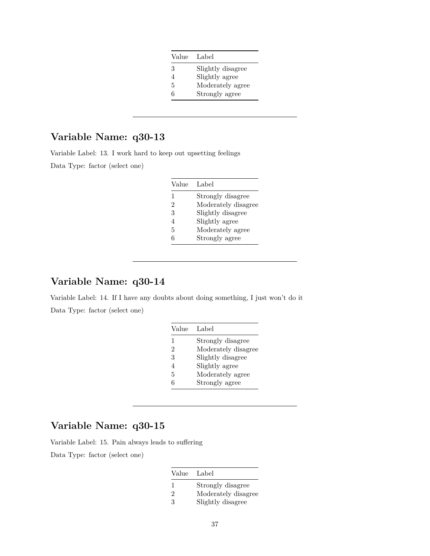| Value | Label             |
|-------|-------------------|
| 3     | Slightly disagree |
|       | Slightly agree    |
| 5     | Moderately agree  |
| б     | Strongly agree    |

Variable Label: 13. I work hard to keep out upsetting feelings

Data Type: factor (select one)

| Value | Label               |
|-------|---------------------|
| 1     | Strongly disagree   |
| 2     | Moderately disagree |
| 3     | Slightly disagree   |
| 4     | Slightly agree      |
| 5     | Moderately agree    |
| 6     | Strongly agree      |

### **Variable Name: q30-14**

Variable Label: 14. If I have any doubts about doing something, I just won't do it Data Type: factor (select one)

| Value        | Label               |
|--------------|---------------------|
| $\mathbf{1}$ | Strongly disagree   |
| 2            | Moderately disagree |
| 3            | Slightly disagree   |
| 4            | Slightly agree      |
| 5            | Moderately agree    |
| հ            | Strongly agree      |

# **Variable Name: q30-15**

Variable Label: 15. Pain always leads to suffering

| Value         | Label               |
|---------------|---------------------|
| 1             | Strongly disagree   |
| $\mathcal{D}$ | Moderately disagree |
| 3             | Slightly disagree   |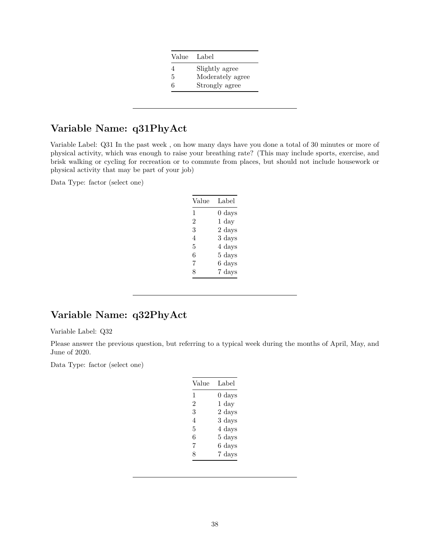| Value | Label            |
|-------|------------------|
| 4     | Slightly agree   |
| 5     | Moderately agree |
| 6     | Strongly agree   |

# **Variable Name: q31PhyAct**

Variable Label: Q31 In the past week , on how many days have you done a total of 30 minutes or more of physical activity, which was enough to raise your breathing rate? (This may include sports, exercise, and brisk walking or cycling for recreation or to commute from places, but should not include housework or physical activity that may be part of your job)

Data Type: factor (select one)

| Label            |
|------------------|
| $0 \text{ days}$ |
| $1 \mathrm{day}$ |
| 2 days           |
| 3 days           |
| 4 days           |
| 5 days           |
| 6 days           |
| 7 days           |
|                  |

# **Variable Name: q32PhyAct**

Variable Label: Q32

Please answer the previous question, but referring to a typical week during the months of April, May, and June of 2020.

| Value | Label            |
|-------|------------------|
| 1     | $0 \text{ days}$ |
| 2     | $1 \mathrm{day}$ |
| 3     | $2 \;{\rm days}$ |
| 4     | 3 days           |
| 5     | 4 days           |
| 6     | 5 days           |
| 7     | 6 days           |
| 8     | 7 days           |
|       |                  |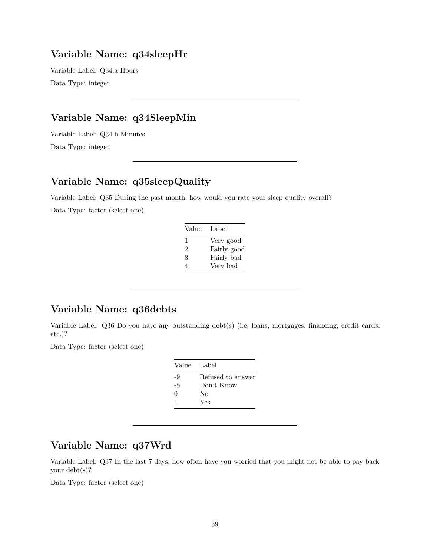#### **Variable Name: q34sleepHr**

Variable Label: Q34.a Hours Data Type: integer

### **Variable Name: q34SleepMin**

Variable Label: Q34.b Minutes Data Type: integer

# **Variable Name: q35sleepQuality**

Variable Label: Q35 During the past month, how would you rate your sleep quality overall? Data Type: factor (select one)

| Value | Label       |
|-------|-------------|
| L     | Very good   |
| 2     | Fairly good |
| 3     | Fairly bad  |
| 4     | Very bad    |
|       |             |

# **Variable Name: q36debts**

Variable Label: Q36 Do you have any outstanding debt(s) (i.e. loans, mortgages, financing, credit cards, etc.)?

Data Type: factor (select one)

| Value Label       |
|-------------------|
| Refused to answer |
| Don't Know        |
| Nο                |
| Yes               |
|                   |

# **Variable Name: q37Wrd**

Variable Label: Q37 In the last 7 days, how often have you worried that you might not be able to pay back your debt(s)?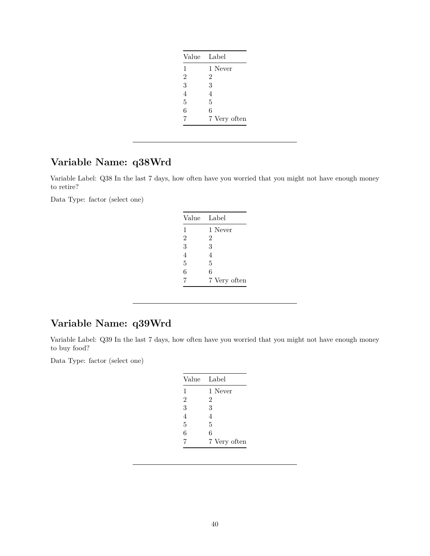| Label          |
|----------------|
| 1 Never        |
| $\overline{2}$ |
| 3              |
| 4              |
| 5              |
| 6              |
| 7 Very often   |
|                |

# **Variable Name: q38Wrd**

Variable Label: Q38 In the last 7 days, how often have you worried that you might not have enough money to retire?

Data Type: factor (select one)

| Value          | Label        |
|----------------|--------------|
| 1              | 1 Never      |
| $\overline{2}$ | 2            |
| 3              | 3            |
| $\overline{4}$ | 4            |
| 5              | 5            |
| 6              | 6            |
| 7              | 7 Very often |

# **Variable Name: q39Wrd**

Variable Label: Q39 In the last 7 days, how often have you worried that you might not have enough money to buy food?

| Value          | Label          |
|----------------|----------------|
| 1              | 1 Never        |
| $\overline{2}$ | $\overline{2}$ |
| 3              | 3              |
| 4              | 4              |
| 5              | 5              |
| 6              | 6              |
| 7              | 7 Very often   |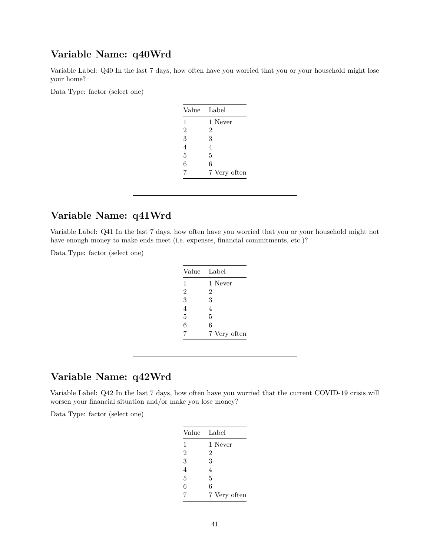#### **Variable Name: q40Wrd**

Variable Label: Q40 In the last 7 days, how often have you worried that you or your household might lose your home?

Data Type: factor (select one)

| Value          | Label          |
|----------------|----------------|
| 1              | 1 Never        |
| $\overline{2}$ | 2              |
| 3              | 3              |
| $\overline{4}$ | $\overline{4}$ |
| 5              | 5              |
| 6              | 6              |
| 7              | 7 Very often   |

# **Variable Name: q41Wrd**

Variable Label: Q41 In the last 7 days, how often have you worried that you or your household might not have enough money to make ends meet (i.e. expenses, financial commitments, etc.)?

Data Type: factor (select one)

| Value          | Label        |
|----------------|--------------|
| 1              | 1 Never      |
| $\overline{2}$ | 2            |
| 3              | 3            |
| 4              | 4            |
| 5              | 5            |
| 6              | 6            |
| 7              | 7 Very often |

### **Variable Name: q42Wrd**

Variable Label: Q42 In the last 7 days, how often have you worried that the current COVID-19 crisis will worsen your financial situation and/or make you lose money?

| Value          | Label        |
|----------------|--------------|
| 1              | 1 Never      |
| $\overline{2}$ | 2            |
| 3              | 3            |
| $\overline{4}$ | 4            |
| 5              | 5            |
| 6              | 6            |
| 7              | 7 Very often |